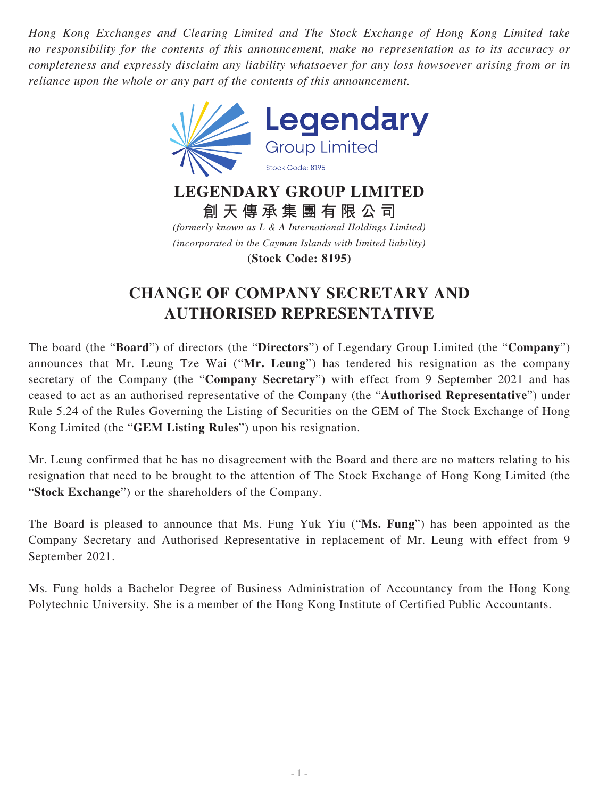*Hong Kong Exchanges and Clearing Limited and The Stock Exchange of Hong Kong Limited take no responsibility for the contents of this announcement, make no representation as to its accuracy or completeness and expressly disclaim any liability whatsoever for any loss howsoever arising from or in reliance upon the whole or any part of the contents of this announcement.*



**LEGENDARY GROUP LIMITED 創天傳承集團有限公司** *(formerly known as L & A International Holdings Limited) (incorporated in the Cayman Islands with limited liability)*

**(Stock Code: 8195)**

## **CHANGE OF COMPANY SECRETARY AND AUTHORISED REPRESENTATIVE**

The board (the "**Board**") of directors (the "**Directors**") of Legendary Group Limited (the "**Company**") announces that Mr. Leung Tze Wai ("**Mr. Leung**") has tendered his resignation as the company secretary of the Company (the "**Company Secretary**") with effect from 9 September 2021 and has ceased to act as an authorised representative of the Company (the "**Authorised Representative**") under Rule 5.24 of the Rules Governing the Listing of Securities on the GEM of The Stock Exchange of Hong Kong Limited (the "**GEM Listing Rules**") upon his resignation.

Mr. Leung confirmed that he has no disagreement with the Board and there are no matters relating to his resignation that need to be brought to the attention of The Stock Exchange of Hong Kong Limited (the "**Stock Exchange**") or the shareholders of the Company.

The Board is pleased to announce that Ms. Fung Yuk Yiu ("**Ms. Fung**") has been appointed as the Company Secretary and Authorised Representative in replacement of Mr. Leung with effect from 9 September 2021.

Ms. Fung holds a Bachelor Degree of Business Administration of Accountancy from the Hong Kong Polytechnic University. She is a member of the Hong Kong Institute of Certified Public Accountants.